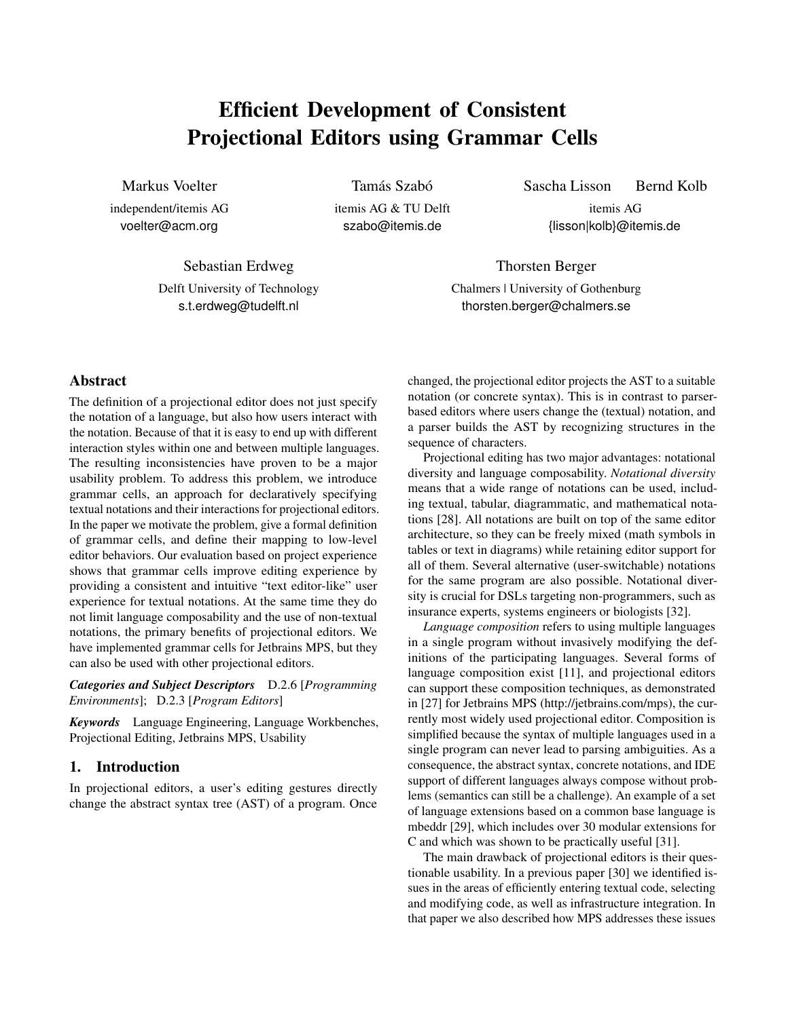# Efficient Development of Consistent Projectional Editors using Grammar Cells

Markus Voelter

independent/itemis AG voelter@acm.org

Tamás Szabó itemis AG & TU Delft szabo@itemis.de

Sascha Lisson Bernd Kolb

itemis AG {lisson|kolb}@itemis.de

Sebastian Erdweg

Delft University of Technology s.t.erdweg@tudelft.nl

Thorsten Berger

Chalmers | University of Gothenburg thorsten.berger@chalmers.se

# Abstract

The definition of a projectional editor does not just specify the notation of a language, but also how users interact with the notation. Because of that it is easy to end up with different interaction styles within one and between multiple languages. The resulting inconsistencies have proven to be a major usability problem. To address this problem, we introduce grammar cells, an approach for declaratively specifying textual notations and their interactions for projectional editors. In the paper we motivate the problem, give a formal definition of grammar cells, and define their mapping to low-level editor behaviors. Our evaluation based on project experience shows that grammar cells improve editing experience by providing a consistent and intuitive "text editor-like" user experience for textual notations. At the same time they do not limit language composability and the use of non-textual notations, the primary benefits of projectional editors. We have implemented grammar cells for Jetbrains MPS, but they can also be used with other projectional editors.

*Categories and Subject Descriptors* D.2.6 [*Programming Environments*]; D.2.3 [*Program Editors*]

*Keywords* Language Engineering, Language Workbenches, Projectional Editing, Jetbrains MPS, Usability

## 1. Introduction

In projectional editors, a user's editing gestures directly change the abstract syntax tree (AST) of a program. Once

changed, the projectional editor projects the AST to a suitable notation (or concrete syntax). This is in contrast to parserbased editors where users change the (textual) notation, and a parser builds the AST by recognizing structures in the sequence of characters.

Projectional editing has two major advantages: notational diversity and language composability. *Notational diversity* means that a wide range of notations can be used, including textual, tabular, diagrammatic, and mathematical notations [\[28\]](#page-12-0). All notations are built on top of the same editor architecture, so they can be freely mixed (math symbols in tables or text in diagrams) while retaining editor support for all of them. Several alternative (user-switchable) notations for the same program are also possible. Notational diversity is crucial for DSLs targeting non-programmers, such as insurance experts, systems engineers or biologists [\[32\]](#page-12-1).

*Language composition* refers to using multiple languages in a single program without invasively modifying the definitions of the participating languages. Several forms of language composition exist [\[11\]](#page-12-2), and projectional editors can support these composition techniques, as demonstrated in [\[27\]](#page-12-3) for Jetbrains MPS [\(http://jetbrains.com/mps\)](http://jetbrains.com/mps), the currently most widely used projectional editor. Composition is simplified because the syntax of multiple languages used in a single program can never lead to parsing ambiguities. As a consequence, the abstract syntax, concrete notations, and IDE support of different languages always compose without problems (semantics can still be a challenge). An example of a set of language extensions based on a common base language is mbeddr [\[29\]](#page-12-4), which includes over 30 modular extensions for C and which was shown to be practically useful [\[31\]](#page-12-5).

The main drawback of projectional editors is their questionable usability. In a previous paper [\[30\]](#page-12-6) we identified issues in the areas of efficiently entering textual code, selecting and modifying code, as well as infrastructure integration. In that paper we also described how MPS addresses these issues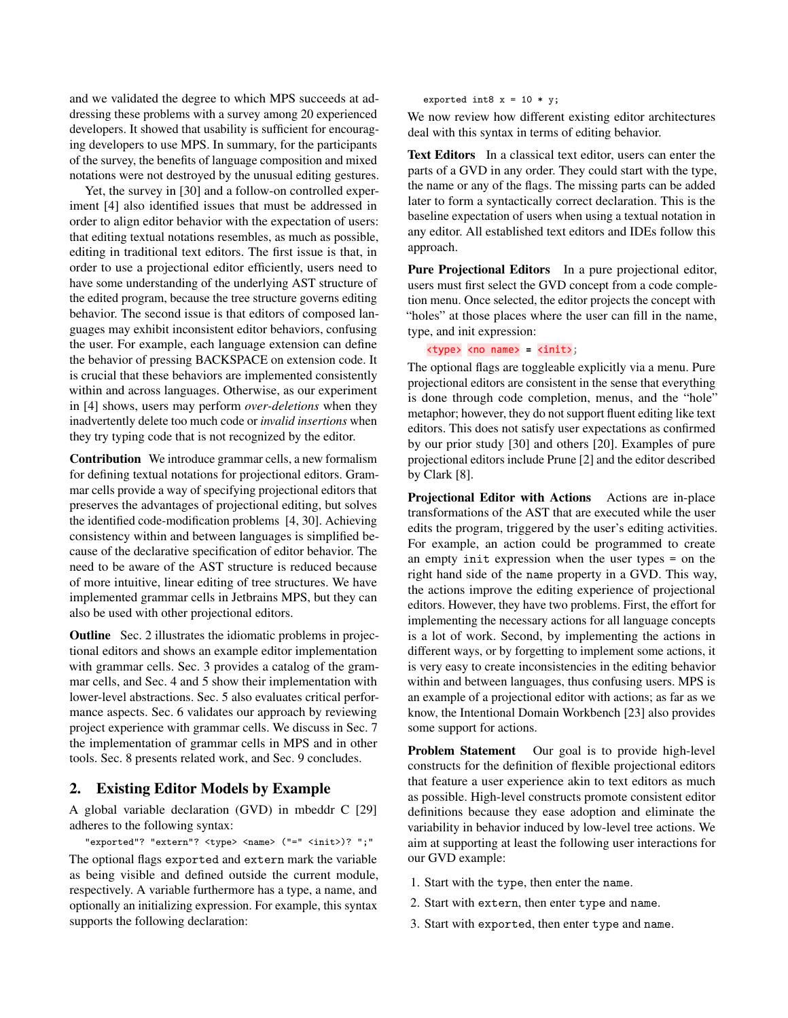and we validated the degree to which MPS succeeds at addressing these problems with a survey among 20 experienced developers. It showed that usability is sufficient for encouraging developers to use MPS. In summary, for the participants of the survey, the benefits of language composition and mixed notations were not destroyed by the unusual editing gestures.

Yet, the survey in [\[30\]](#page-12-6) and a follow-on controlled experiment [\[4\]](#page-12-7) also identified issues that must be addressed in order to align editor behavior with the expectation of users: that editing textual notations resembles, as much as possible, editing in traditional text editors. The first issue is that, in order to use a projectional editor efficiently, users need to have some understanding of the underlying AST structure of the edited program, because the tree structure governs editing behavior. The second issue is that editors of composed languages may exhibit inconsistent editor behaviors, confusing the user. For example, each language extension can define the behavior of pressing BACKSPACE on extension code. It is crucial that these behaviors are implemented consistently within and across languages. Otherwise, as our experiment in [\[4\]](#page-12-7) shows, users may perform *over-deletions* when they inadvertently delete too much code or *invalid insertions* when they try typing code that is not recognized by the editor.

Contribution We introduce grammar cells, a new formalism for defining textual notations for projectional editors. Grammar cells provide a way of specifying projectional editors that preserves the advantages of projectional editing, but solves the identified code-modification problems [\[4,](#page-12-7) [30\]](#page-12-6). Achieving consistency within and between languages is simplified because of the declarative specification of editor behavior. The need to be aware of the AST structure is reduced because of more intuitive, linear editing of tree structures. We have implemented grammar cells in Jetbrains MPS, but they can also be used with other projectional editors.

Outline [Sec. 2](#page-1-0) illustrates the idiomatic problems in projectional editors and shows an example editor implementation with grammar cells. [Sec. 3](#page-2-0) provides a catalog of the grammar cells, and Sec. [4](#page-3-0) and [5](#page-5-0) show their implementation with lower-level abstractions. [Sec. 5](#page-5-0) also evaluates critical performance aspects. [Sec. 6](#page-9-0) validates our approach by reviewing project experience with grammar cells. We discuss in [Sec. 7](#page-10-0) the implementation of grammar cells in MPS and in other tools. [Sec. 8](#page-10-1) presents related work, and [Sec. 9](#page-11-0) concludes.

## <span id="page-1-0"></span>2. Existing Editor Models by Example

A global variable declaration (GVD) in mbeddr C [\[29\]](#page-12-4) adheres to the following syntax:

"exported"? "extern"? <type> <name> ("=" <init>)? ";" The optional flags exported and extern mark the variable as being visible and defined outside the current module, respectively. A variable furthermore has a type, a name, and optionally an initializing expression. For example, this syntax supports the following declaration:

exported int8  $x = 10 * y$ ;

We now review how different existing editor architectures deal with this syntax in terms of editing behavior.

Text Editors In a classical text editor, users can enter the parts of a GVD in any order. They could start with the type, the name or any of the flags. The missing parts can be added later to form a syntactically correct declaration. This is the baseline expectation of users when using a textual notation in any editor. All established text editors and IDEs follow this approach.

Pure Projectional Editors In a pure projectional editor, users must first select the GVD concept from a code completion menu. Once selected, the editor projects the concept with "holes" at those places where the user can fill in the name, type, and init expression:

#### <type> <no name> = <init>;

The optional flags are toggleable explicitly via a menu. Pure projectional editors are consistent in the sense that everything is done through code completion, menus, and the "hole" metaphor; however, they do not support fluent editing like text editors. This does not satisfy user expectations as confirmed by our prior study [\[30\]](#page-12-6) and others [\[20\]](#page-12-8). Examples of pure projectional editors include Prune [\[2\]](#page-12-9) and the editor described by Clark [\[8\]](#page-12-10).

Projectional Editor with Actions Actions are in-place transformations of the AST that are executed while the user edits the program, triggered by the user's editing activities. For example, an action could be programmed to create an empty init expression when the user types = on the right hand side of the name property in a GVD. This way, the actions improve the editing experience of projectional editors. However, they have two problems. First, the effort for implementing the necessary actions for all language concepts is a lot of work. Second, by implementing the actions in different ways, or by forgetting to implement some actions, it is very easy to create inconsistencies in the editing behavior within and between languages, thus confusing users. MPS is an example of a projectional editor with actions; as far as we know, the Intentional Domain Workbench [\[23\]](#page-12-11) also provides some support for actions.

Problem Statement Our goal is to provide high-level constructs for the definition of flexible projectional editors that feature a user experience akin to text editors as much as possible. High-level constructs promote consistent editor definitions because they ease adoption and eliminate the variability in behavior induced by low-level tree actions. We aim at supporting at least the following user interactions for our GVD example:

- 1. Start with the type, then enter the name.
- 2. Start with extern, then enter type and name.
- 3. Start with exported, then enter type and name.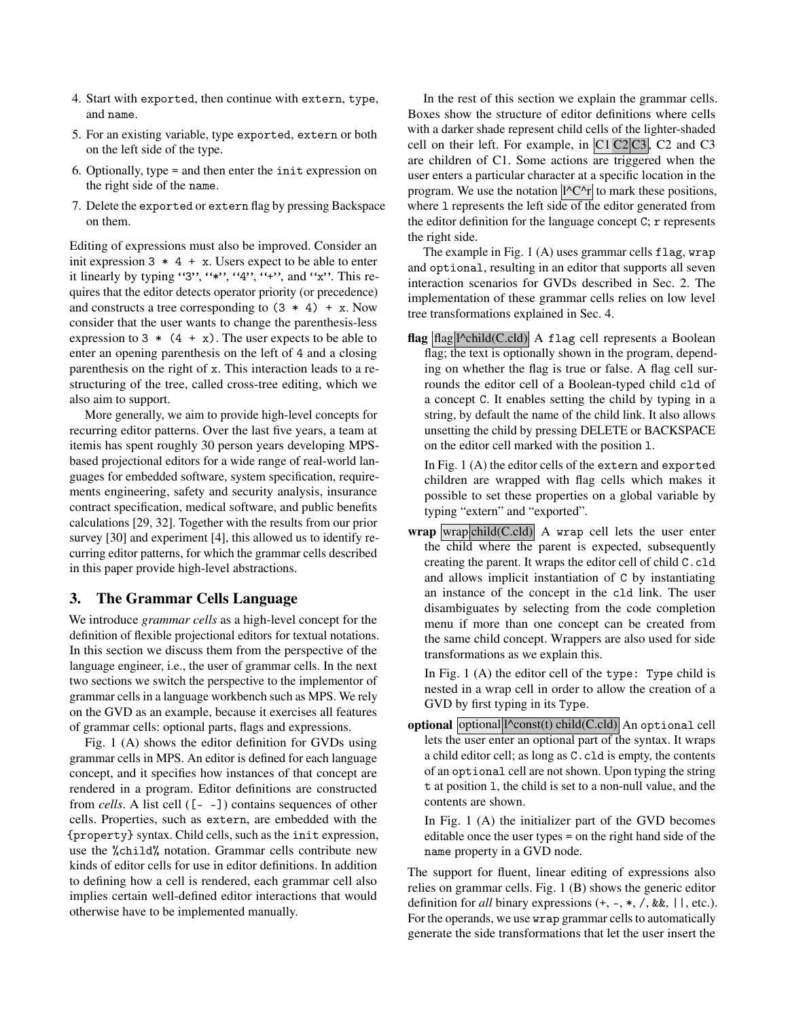- 4. Start with exported, then continue with extern, type, and name.
- 5. For an existing variable, type exported, extern or both on the left side of the type.
- 6. Optionally, type = and then enter the init expression on the right side of the name.
- 7. Delete the exported or extern flag by pressing Backspace on them.

Editing of expressions must also be improved. Consider an init expression  $3 * 4 + x$ . Users expect to be able to enter it linearly by typing "3", " $*$ ", "4", " $+$ ", and "x". This requires that the editor detects operator priority (or precedence) and constructs a tree corresponding to  $(3 * 4) + x$ . Now consider that the user wants to change the parenthesis-less expression to  $3 * (4 + x)$ . The user expects to be able to enter an opening parenthesis on the left of 4 and a closing parenthesis on the right of x. This interaction leads to a restructuring of the tree, called cross-tree editing, which we also aim to support.

More generally, we aim to provide high-level concepts for recurring editor patterns. Over the last five years, a team at itemis has spent roughly 30 person years developing MPSbased projectional editors for a wide range of real-world languages for embedded software, system specification, requirements engineering, safety and security analysis, insurance contract specification, medical software, and public benefits calculations [\[29,](#page-12-4) [32\]](#page-12-1). Together with the results from our prior survey [\[30\]](#page-12-6) and experiment [\[4\]](#page-12-7), this allowed us to identify recurring editor patterns, for which the grammar cells described in this paper provide high-level abstractions.

#### <span id="page-2-0"></span>3. The Grammar Cells Language

We introduce *grammar cells* as a high-level concept for the definition of flexible projectional editors for textual notations. In this section we discuss them from the perspective of the language engineer, i.e., the user of grammar cells. In the next two sections we switch the perspective to the implementor of grammar cells in a language workbench such as MPS. We rely on the GVD as an example, because it exercises all features of grammar cells: optional parts, flags and expressions.

[Fig. 1](#page-3-1) (A) shows the editor definition for GVDs using grammar cells in MPS. An editor is defined for each language concept, and it specifies how instances of that concept are rendered in a program. Editor definitions are constructed from *cells*. A list cell ([- -]) contains sequences of other cells. Properties, such as extern, are embedded with the {property} syntax. Child cells, such as the init expression, use the %child% notation. Grammar cells contribute new kinds of editor cells for use in editor definitions. In addition to defining how a cell is rendered, each grammar cell also implies certain well-defined editor interactions that would otherwise have to be implemented manually.

In the rest of this section we explain the grammar cells. Boxes show the structure of editor definitions where cells with a darker shade represent child cells of the lighter-shaded cell on their left. For example, in  $\vert$ C1 $\vert$ C2 $\vert$ C3 $\vert$ , C2 and C3 are children of C1. Some actions are triggered when the user enters a particular character at a specific location in the program. We use the notation  $\overline{C^{\wedge}r}$  to mark these positions, where 1 represents the left side of the editor generated from the editor definition for the language concept  $C$ ; r represents the right side.

The example in [Fig. 1](#page-3-1) (A) uses grammar cells flag, wrap and optional, resulting in an editor that supports all seven interaction scenarios for GVDs described in [Sec. 2.](#page-1-0) The implementation of these grammar cells relies on low level tree transformations explained in [Sec. 4.](#page-3-0)

flag  $\left| \frac{\text{flag}}{\text{C.cld}} \right|$  A flag cell represents a Boolean flag; the text is optionally shown in the program, depending on whether the flag is true or false. A flag cell surrounds the editor cell of a Boolean-typed child cld of a concept C. It enables setting the child by typing in a string, by default the name of the child link. It also allows unsetting the child by pressing DELETE or BACKSPACE on the editor cell marked with the position l.

In [Fig. 1](#page-3-1) (A) the editor cells of the extern and exported children are wrapped with flag cells which makes it possible to set these properties on a global variable by typing "extern" and "exported".

**wrap** wrap child(C.cld) A wrap cell lets the user enter the child where the parent is expected, subsequently creating the parent. It wraps the editor cell of child C.cld and allows implicit instantiation of C by instantiating an instance of the concept in the cld link. The user disambiguates by selecting from the code completion menu if more than one concept can be created from the same child concept. Wrappers are also used for side transformations as we explain this.

In [Fig. 1](#page-3-1) (A) the editor cell of the type: Type child is nested in a wrap cell in order to allow the creation of a GVD by first typing in its Type.

optional optional  $|$ <sup>1</sup>const(t) child(C.cld) An optional cell lets the user enter an optional part of the syntax. It wraps a child editor cell; as long as C.cld is empty, the contents of an optional cell are not shown. Upon typing the string t at position l, the child is set to a non-null value, and the contents are shown.

In [Fig. 1](#page-3-1) (A) the initializer part of the GVD becomes editable once the user types = on the right hand side of the name property in a GVD node.

The support for fluent, linear editing of expressions also relies on grammar cells. [Fig. 1](#page-3-1) (B) shows the generic editor definition for *all* binary expressions (+, -, \*, /, &&, ||, etc.). For the operands, we use wrap grammar cells to automatically generate the side transformations that let the user insert the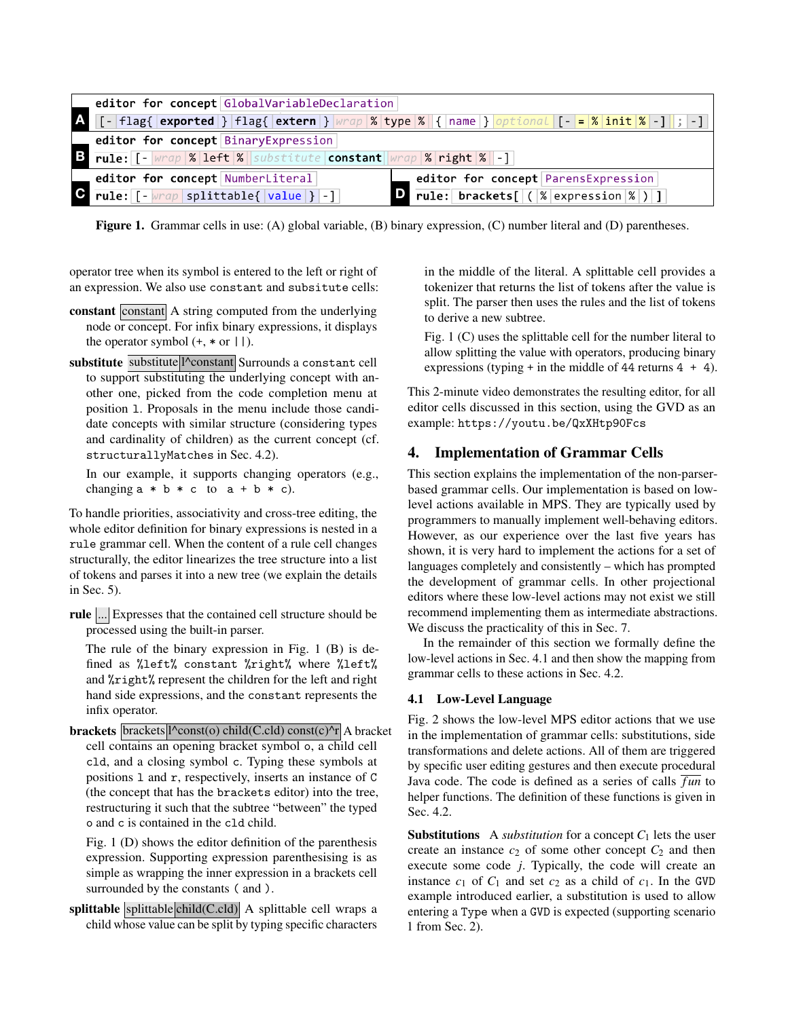| editor for concept GlobalVariableDeclaration                                                                                                                                                                   |                                                                                                                   |  |  |  |  |  |  |  |
|----------------------------------------------------------------------------------------------------------------------------------------------------------------------------------------------------------------|-------------------------------------------------------------------------------------------------------------------|--|--|--|--|--|--|--|
|                                                                                                                                                                                                                | A [-  flag{ exported } flag{ extern } wrap % type %  { name } optional [- <mark>= % init %</mark>  -] ; -]        |  |  |  |  |  |  |  |
|                                                                                                                                                                                                                | editor for concept BinaryExpression                                                                               |  |  |  |  |  |  |  |
| $\textbf{E}$ rule: $\left[ - \sqrt{wap} \right]$ / $\left  \text{left} \right $ / $\left  \text{substitute} \right $ constant $\left  \sqrt{wap} \right $ / $\left  \text{right} \right $ / $\left  - \right $ |                                                                                                                   |  |  |  |  |  |  |  |
|                                                                                                                                                                                                                | editor for concept ParensExpression<br>editor for concept NumberLiteral                                           |  |  |  |  |  |  |  |
|                                                                                                                                                                                                                | <b>C</b> rule: $[-\text{wrap} \text{splitable}\{\text{value} \} - ]$<br>D rule: brackets[ $((%$ expression $%)$ ] |  |  |  |  |  |  |  |

<span id="page-3-1"></span>Figure 1. Grammar cells in use: (A) global variable, (B) binary expression, (C) number literal and (D) parentheses.

operator tree when its symbol is entered to the left or right of an expression. We also use constant and subsitute cells:

- constant constant A string computed from the underlying node or concept. For infix binary expressions, it displays the operator symbol  $(+, * \text{ or } ||).$
- substitute substitute l<sup>^</sup>constant Surrounds a constant cell to support substituting the underlying concept with another one, picked from the code completion menu at position l. Proposals in the menu include those candidate concepts with similar structure (considering types and cardinality of children) as the current concept (cf. structurallyMatches in [Sec. 4.2\)](#page-4-0).

In our example, it supports changing operators (e.g., changing  $a * b * c$  to  $a + b * c$ ).

To handle priorities, associativity and cross-tree editing, the whole editor definition for binary expressions is nested in a rule grammar cell. When the content of a rule cell changes structurally, the editor linearizes the tree structure into a list of tokens and parses it into a new tree (we explain the details in [Sec. 5\)](#page-5-0).

rule ... Expresses that the contained cell structure should be processed using the built-in parser.

The rule of the binary expression in [Fig. 1](#page-3-1) (B) is defined as %left% constant %right% where %left% and %right% represent the children for the left and right hand side expressions, and the constant represents the infix operator.

**brackets**  $brackets |*l*const(o)|child(C.cld)|const(c)<sup>^</sup>r|$  A bracket cell contains an opening bracket symbol o, a child cell cld, and a closing symbol c. Typing these symbols at positions l and r, respectively, inserts an instance of C (the concept that has the brackets editor) into the tree, restructuring it such that the subtree "between" the typed o and c is contained in the cld child.

[Fig. 1](#page-3-1) (D) shows the editor definition of the parenthesis expression. Supporting expression parenthesising is as simple as wrapping the inner expression in a brackets cell surrounded by the constants ( and ).

splittable splittable child(C.cld) A splittable cell wraps a child whose value can be split by typing specific characters

in the middle of the literal. A splittable cell provides a tokenizer that returns the list of tokens after the value is split. The parser then uses the rules and the list of tokens to derive a new subtree.

[Fig. 1](#page-3-1) (C) uses the splittable cell for the number literal to allow splitting the value with operators, producing binary expressions (typing + in the middle of 44 returns  $4 + 4$ ).

This 2-minute video demonstrates the resulting editor, for all editor cells discussed in this section, using the GVD as an example: <https://youtu.be/QxXHtp90Fcs>

# <span id="page-3-0"></span>4. Implementation of Grammar Cells

This section explains the implementation of the non-parserbased grammar cells. Our implementation is based on lowlevel actions available in MPS. They are typically used by programmers to manually implement well-behaving editors. However, as our experience over the last five years has shown, it is very hard to implement the actions for a set of languages completely and consistently – which has prompted the development of grammar cells. In other projectional editors where these low-level actions may not exist we still recommend implementing them as intermediate abstractions. We discuss the practicality of this in [Sec. 7.](#page-10-0)

In the remainder of this section we formally define the low-level actions in [Sec. 4.1](#page-3-2) and then show the mapping from grammar cells to these actions in [Sec. 4.2.](#page-4-0)

#### <span id="page-3-2"></span>4.1 Low-Level Language

[Fig. 2](#page-4-1) shows the low-level MPS editor actions that we use in the implementation of grammar cells: substitutions, side transformations and delete actions. All of them are triggered by specific user editing gestures and then execute procedural Java code. The code is defined as a series of calls  $\overline{fun}$  to helper functions. The definition of these functions is given in [Sec. 4.2.](#page-4-0)

**Substitutions** A *substitution* for a concept  $C_1$  lets the user create an instance  $c_2$  of some other concept  $C_2$  and then execute some code *j*. Typically, the code will create an instance  $c_1$  of  $C_1$  and set  $c_2$  as a child of  $c_1$ . In the GVD example introduced earlier, a substitution is used to allow entering a Type when a GVD is expected (supporting scenario 1 from [Sec. 2\)](#page-1-0).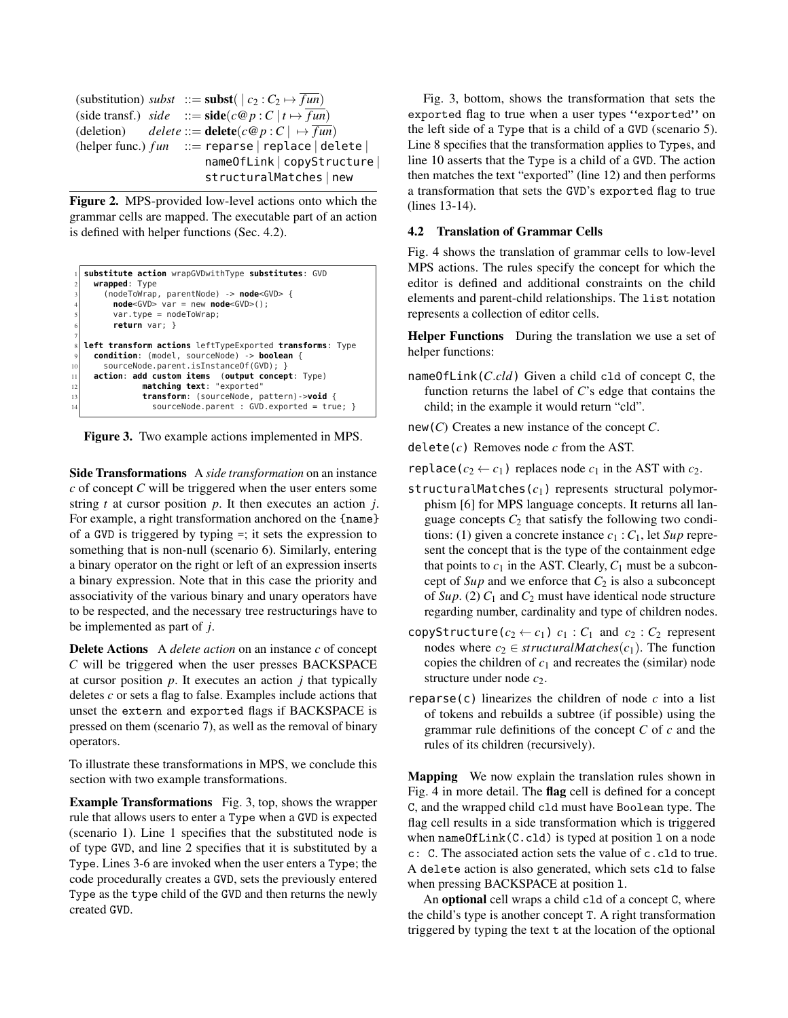```
(substitution) subst ::= subst(| c_2 : C_2 \mapsto \overline{fun})
(side \text{ transf.}) \text{ } side \text{ } ::= \text{side}(c@p : C | t \mapsto \overline{fun})\text{(deletion)} \qquad \text{delete} ::= \text{delete}(c \mathcal{Q} p : C \mid \mapsto \overline{fun})(helper func.) fun ::= reparse | replace | delete |
                                  nameOfLink | copyStructure |
                                  structuralMatches | new
```
<span id="page-4-1"></span>Figure 2. MPS-provided low-level actions onto which the grammar cells are mapped. The executable part of an action is defined with helper functions [\(Sec. 4.2\)](#page-4-0).

```
1 substitute action wrapGVDwithType substitutes: GVD
    wrapped: Type
      3 (nodeToWrap, parentNode) -> node<GVD> {
        4 node<GVD> var = new node<GVD>();
        var.type = nodeToWrap;
        6 return var; }
 7
  8 left transform actions leftTypeExported transforms: Type
    9 condition: (model, sourceNode) -> boolean {
10 sourceNode.parent.isInstanceOf(GVD); }
11 action: add custom items (output concept: Type)
              12 matching text: "exported"
13 transform: (sourceNode, pattern)->void {
14 sourceNode.parent : GVD.exported = true; }
```
<span id="page-4-2"></span>Figure 3. Two example actions implemented in MPS.

Side Transformations A *side transformation* on an instance *c* of concept *C* will be triggered when the user enters some string *t* at cursor position *p*. It then executes an action *j*. For example, a right transformation anchored on the {name} of a GVD is triggered by typing =; it sets the expression to something that is non-null (scenario 6). Similarly, entering a binary operator on the right or left of an expression inserts a binary expression. Note that in this case the priority and associativity of the various binary and unary operators have to be respected, and the necessary tree restructurings have to be implemented as part of *j*.

Delete Actions A *delete action* on an instance *c* of concept *C* will be triggered when the user presses BACKSPACE at cursor position *p*. It executes an action *j* that typically deletes *c* or sets a flag to false. Examples include actions that unset the extern and exported flags if BACKSPACE is pressed on them (scenario 7), as well as the removal of binary operators.

To illustrate these transformations in MPS, we conclude this section with two example transformations.

Example Transformations [Fig. 3,](#page-4-2) top, shows the wrapper rule that allows users to enter a Type when a GVD is expected (scenario 1). Line 1 specifies that the substituted node is of type GVD, and line 2 specifies that it is substituted by a Type. Lines 3-6 are invoked when the user enters a Type; the code procedurally creates a GVD, sets the previously entered Type as the type child of the GVD and then returns the newly created GVD.

[Fig. 3,](#page-4-2) bottom, shows the transformation that sets the exported flag to true when a user types "exported" on the left side of a Type that is a child of a GVD (scenario 5). Line 8 specifies that the transformation applies to Types, and line 10 asserts that the Type is a child of a GVD. The action then matches the text "exported" (line 12) and then performs a transformation that sets the GVD's exported flag to true (lines 13-14).

## <span id="page-4-0"></span>4.2 Translation of Grammar Cells

[Fig. 4](#page-5-1) shows the translation of grammar cells to low-level MPS actions. The rules specify the concept for which the editor is defined and additional constraints on the child elements and parent-child relationships. The list notation represents a collection of editor cells.

Helper Functions During the translation we use a set of helper functions:

- nameOfLink(*C*.*cld*) Given a child cld of concept C, the function returns the label of *C*'s edge that contains the child; in the example it would return "cld".
- new(*C*) Creates a new instance of the concept *C*.

delete(*c*) Removes node *c* from the AST.

replace( $c_2 \leftarrow c_1$ ) replaces node  $c_1$  in the AST with  $c_2$ .

- structuralMatches $(c_1)$  represents structural polymorphism [\[6\]](#page-12-12) for MPS language concepts. It returns all language concepts  $C_2$  that satisfy the following two conditions: (1) given a concrete instance  $c_1$  :  $C_1$ , let *Sup* represent the concept that is the type of the containment edge that points to  $c_1$  in the AST. Clearly,  $C_1$  must be a subconcept of *Sup* and we enforce that  $C_2$  is also a subconcept of  $Sup. (2)$   $C_1$  and  $C_2$  must have identical node structure regarding number, cardinality and type of children nodes.
- copyStructure( $c_2 \leftarrow c_1$ )  $c_1 : C_1$  and  $c_2 : C_2$  represent nodes where  $c_2 \in structuralMatches(c_1)$ . The function copies the children of  $c_1$  and recreates the (similar) node structure under node  $c_2$ .
- reparse(c) linearizes the children of node *c* into a list of tokens and rebuilds a subtree (if possible) using the grammar rule definitions of the concept *C* of *c* and the rules of its children (recursively).

Mapping We now explain the translation rules shown in [Fig. 4](#page-5-1) in more detail. The flag cell is defined for a concept C, and the wrapped child cld must have Boolean type. The flag cell results in a side transformation which is triggered when  $nameOfLink(C.cdd)$  is typed at position 1 on a node c: C. The associated action sets the value of c.cld to true. A delete action is also generated, which sets cld to false when pressing BACKSPACE at position l.

An **optional** cell wraps a child cld of a concept C, where the child's type is another concept T. A right transformation triggered by typing the text t at the location of the optional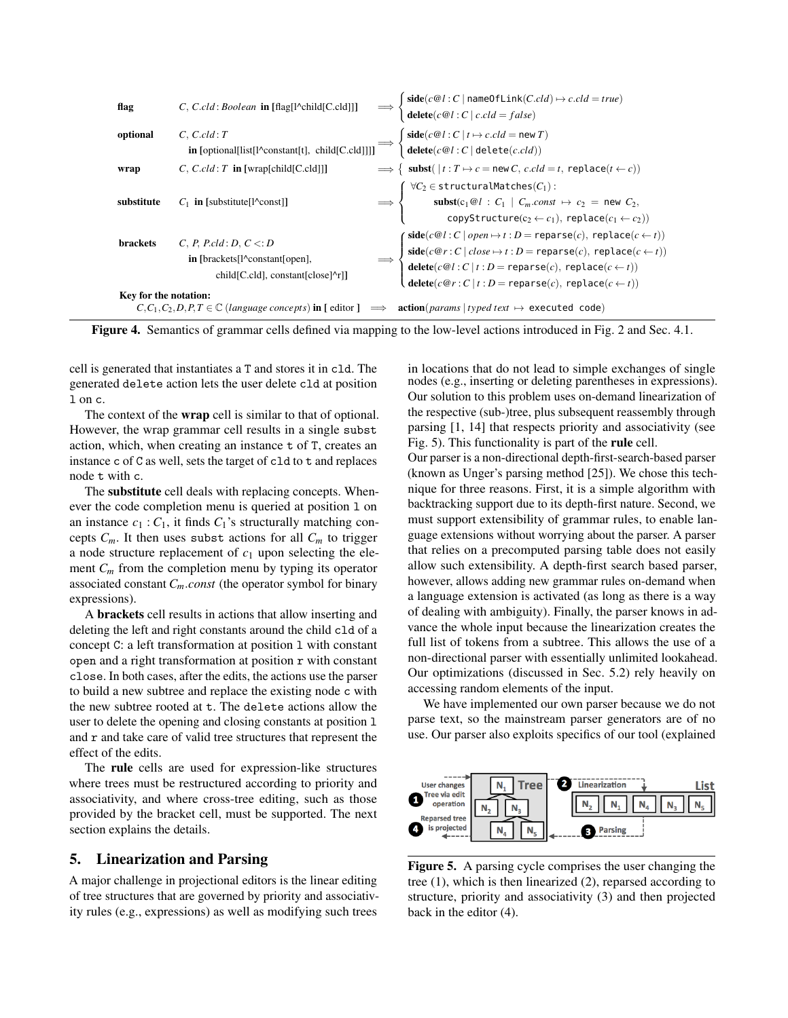|                                                                                                                                        | $C, C. cld$ : Boolean in [flag[1^child[C.cld]]]                                                           |  |                                                                                                                                                                                                                                                                                                                                                                                                                             |  |  |  |  |
|----------------------------------------------------------------------------------------------------------------------------------------|-----------------------------------------------------------------------------------------------------------|--|-----------------------------------------------------------------------------------------------------------------------------------------------------------------------------------------------------------------------------------------------------------------------------------------------------------------------------------------------------------------------------------------------------------------------------|--|--|--|--|
| flag                                                                                                                                   |                                                                                                           |  | $\Rightarrow \begin{cases} \text{side}(c@l : C \mid \text{nameOfLink}(C, cld) \mapsto c, cld = true) \\ \text{delete}(c@l : C \mid c, cld = false) \end{cases}$                                                                                                                                                                                                                                                             |  |  |  |  |
| optional                                                                                                                               | C, C. cld: T                                                                                              |  |                                                                                                                                                                                                                                                                                                                                                                                                                             |  |  |  |  |
|                                                                                                                                        | in [optional[list[l^constant[t], child[C.cld]]]]                                                          |  | $\begin{cases} \text{side}(c@l: C   t \mapsto c. cld = \text{new } T) \\ \text{delete}(c@l: C   \text{delete}(c. cld)) \end{cases}$                                                                                                                                                                                                                                                                                         |  |  |  |  |
| wrap                                                                                                                                   | C, C.cld: T in [wrap[child[C.cld]]]                                                                       |  | $\Rightarrow$ { subst(   t : T $\mapsto$ c = new C, c.cld = t, replace(t $\leftarrow$ c))                                                                                                                                                                                                                                                                                                                                   |  |  |  |  |
|                                                                                                                                        |                                                                                                           |  |                                                                                                                                                                                                                                                                                                                                                                                                                             |  |  |  |  |
| substitute                                                                                                                             | $C_1$ in [substitute[1^const]]                                                                            |  | $\implies \left\{ \begin{array}{cl} \forall C_2 \in \texttt{structuralMatches}(C_1): \\ \textbf{subst}(c_1@l:C_1 \mid C_m.config \mapsto c_2 = \texttt{new } C_2, \\ \texttt{copyStructure}(c_2 \leftarrow c_1), \texttt{replace}(c_1 \leftarrow c_2)) \end{array} \right. \right.$                                                                                                                                         |  |  |  |  |
|                                                                                                                                        |                                                                                                           |  |                                                                                                                                                                                                                                                                                                                                                                                                                             |  |  |  |  |
| <b>brackets</b>                                                                                                                        | C, P, P.cld: D, $C \le D$<br>in $[brackets[1^{\circ}constant[open],$<br>child[C.cld], constant[close]^r]] |  | $\implies \begin{cases} \text{side}(c@l:C \,   \, open \mapsto t:D = \text{reparse}(c), \text{ replace}(c \leftarrow t)) \\ \text{side}(c@r:C \,   \, close \mapsto t:D = \text{reparse}(c), \text{ replace}(c \leftarrow t)) \\ \text{delete}(c@l:C \,   \, t:D = \text{reparse}(c), \text{ replace}(c \leftarrow t)) \\ \text{delete}(c@r:C \,   \, t:D = \text{reparse}(c), \text{replace}(c \leftarrow t)) \end{cases}$ |  |  |  |  |
|                                                                                                                                        |                                                                                                           |  |                                                                                                                                                                                                                                                                                                                                                                                                                             |  |  |  |  |
|                                                                                                                                        |                                                                                                           |  |                                                                                                                                                                                                                                                                                                                                                                                                                             |  |  |  |  |
|                                                                                                                                        |                                                                                                           |  |                                                                                                                                                                                                                                                                                                                                                                                                                             |  |  |  |  |
| Key for the notation:                                                                                                                  |                                                                                                           |  |                                                                                                                                                                                                                                                                                                                                                                                                                             |  |  |  |  |
| $C, C_1, C_2, D, P, T \in \mathbb{C}$ (language concepts) in [editor ] $\implies$ action (params   typed text $\mapsto$ executed code) |                                                                                                           |  |                                                                                                                                                                                                                                                                                                                                                                                                                             |  |  |  |  |

<span id="page-5-1"></span>

cell is generated that instantiates a T and stores it in cld. The generated delete action lets the user delete cld at position l on c.

The context of the **wrap** cell is similar to that of optional. However, the wrap grammar cell results in a single subst action, which, when creating an instance t of T, creates an instance c of C as well, sets the target of cld to t and replaces node t with c.

The substitute cell deals with replacing concepts. Whenever the code completion menu is queried at position l on an instance  $c_1$ :  $C_1$ , it finds  $C_1$ 's structurally matching concepts  $C_m$ . It then uses subst actions for all  $C_m$  to trigger a node structure replacement of  $c_1$  upon selecting the element  $C_m$  from the completion menu by typing its operator associated constant *Cm*.*const* (the operator symbol for binary expressions).

A brackets cell results in actions that allow inserting and deleting the left and right constants around the child cld of a concept C: a left transformation at position l with constant open and a right transformation at position r with constant close. In both cases, after the edits, the actions use the parser to build a new subtree and replace the existing node c with the new subtree rooted at t. The delete actions allow the user to delete the opening and closing constants at position l and r and take care of valid tree structures that represent the effect of the edits.

The rule cells are used for expression-like structures where trees must be restructured according to priority and associativity, and where cross-tree editing, such as those provided by the bracket cell, must be supported. The next section explains the details.

# <span id="page-5-0"></span>5. Linearization and Parsing

A major challenge in projectional editors is the linear editing of tree structures that are governed by priority and associativity rules (e.g., expressions) as well as modifying such trees in locations that do not lead to simple exchanges of single nodes (e.g., inserting or deleting parentheses in expressions). Our solution to this problem uses on-demand linearization of the respective (sub-)tree, plus subsequent reassembly through parsing [\[1,](#page-12-13) [14\]](#page-12-14) that respects priority and associativity (see [Fig. 5\)](#page-5-2). This functionality is part of the rule cell.

Our parser is a non-directional depth-first-search-based parser (known as Unger's parsing method [\[25\]](#page-12-15)). We chose this technique for three reasons. First, it is a simple algorithm with backtracking support due to its depth-first nature. Second, we must support extensibility of grammar rules, to enable language extensions without worrying about the parser. A parser that relies on a precomputed parsing table does not easily allow such extensibility. A depth-first search based parser, however, allows adding new grammar rules on-demand when a language extension is activated (as long as there is a way of dealing with ambiguity). Finally, the parser knows in advance the whole input because the linearization creates the full list of tokens from a subtree. This allows the use of a non-directional parser with essentially unlimited lookahead. Our optimizations (discussed in [Sec. 5.2\)](#page-6-0) rely heavily on accessing random elements of the input.

We have implemented our own parser because we do not parse text, so the mainstream parser generators are of no use. Our parser also exploits specifics of our tool (explained



<span id="page-5-2"></span>Figure 5. A parsing cycle comprises the user changing the tree (1), which is then linearized (2), reparsed according to structure, priority and associativity (3) and then projected back in the editor (4).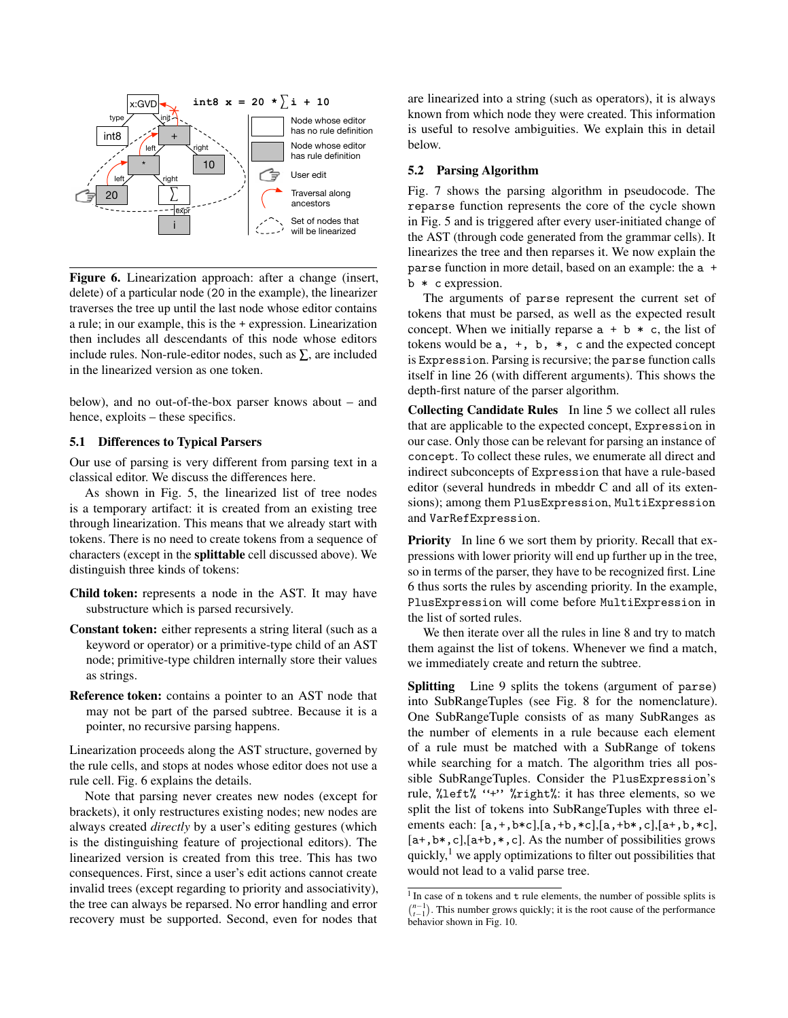

<span id="page-6-1"></span>Figure 6. Linearization approach: after a change (insert, delete) of a particular node (20 in the example), the linearizer traverses the tree up until the last node whose editor contains a rule; in our example, this is the + expression. Linearization then includes all descendants of this node whose editors include rules. Non-rule-editor nodes, such as  $\Sigma$ , are included in the linearized version as one token.

below), and no out-of-the-box parser knows about – and hence, exploits – these specifics.

#### 5.1 Differences to Typical Parsers

Our use of parsing is very different from parsing text in a classical editor. We discuss the differences here.

As shown in [Fig. 5,](#page-5-2) the linearized list of tree nodes is a temporary artifact: it is created from an existing tree through linearization. This means that we already start with tokens. There is no need to create tokens from a sequence of characters (except in the splittable cell discussed above). We distinguish three kinds of tokens:

- Child token: represents a node in the AST. It may have substructure which is parsed recursively.
- Constant token: either represents a string literal (such as a keyword or operator) or a primitive-type child of an AST node; primitive-type children internally store their values as strings.
- Reference token: contains a pointer to an AST node that may not be part of the parsed subtree. Because it is a pointer, no recursive parsing happens.

Linearization proceeds along the AST structure, governed by the rule cells, and stops at nodes whose editor does not use a rule cell. [Fig. 6](#page-6-1) explains the details.

Note that parsing never creates new nodes (except for brackets), it only restructures existing nodes; new nodes are always created *directly* by a user's editing gestures (which is the distinguishing feature of projectional editors). The linearized version is created from this tree. This has two consequences. First, since a user's edit actions cannot create invalid trees (except regarding to priority and associativity), the tree can always be reparsed. No error handling and error recovery must be supported. Second, even for nodes that

are linearized into a string (such as operators), it is always known from which node they were created. This information is useful to resolve ambiguities. We explain this in detail below.

#### <span id="page-6-0"></span>5.2 Parsing Algorithm

[Fig. 7](#page-7-0) shows the parsing algorithm in pseudocode. The reparse function represents the core of the cycle shown in [Fig. 5](#page-5-2) and is triggered after every user-initiated change of the AST (through code generated from the grammar cells). It linearizes the tree and then reparses it. We now explain the parse function in more detail, based on an example: the a + b \* c expression.

The arguments of parse represent the current set of tokens that must be parsed, as well as the expected result concept. When we initially reparse  $a + b * c$ , the list of tokens would be  $a, +$ ,  $b, *$ ,  $c$  and the expected concept is Expression. Parsing is recursive; the parse function calls itself in line 26 (with different arguments). This shows the depth-first nature of the parser algorithm.

Collecting Candidate Rules In line 5 we collect all rules that are applicable to the expected concept, Expression in our case. Only those can be relevant for parsing an instance of concept. To collect these rules, we enumerate all direct and indirect subconcepts of Expression that have a rule-based editor (several hundreds in mbeddr C and all of its extensions); among them PlusExpression, MultiExpression and VarRefExpression.

Priority In line 6 we sort them by priority. Recall that expressions with lower priority will end up further up in the tree, so in terms of the parser, they have to be recognized first. Line 6 thus sorts the rules by ascending priority. In the example, PlusExpression will come before MultiExpression in the list of sorted rules.

We then iterate over all the rules in line 8 and try to match them against the list of tokens. Whenever we find a match, we immediately create and return the subtree.

Splitting Line 9 splits the tokens (argument of parse) into SubRangeTuples (see [Fig. 8](#page-7-1) for the nomenclature). One SubRangeTuple consists of as many SubRanges as the number of elements in a rule because each element of a rule must be matched with a SubRange of tokens while searching for a match. The algorithm tries all possible SubRangeTuples. Consider the PlusExpression's rule, %left% "+" %right%: it has three elements, so we split the list of tokens into SubRangeTuples with three elements each: [a,+,b\*c],[a,+b,\*c],[a,+b\*,c],[a+,b,\*c], [a+,b\*,c],[a+b,\*,c]. As the number of possibilities grows quickly, $<sup>1</sup>$  $<sup>1</sup>$  $<sup>1</sup>$  we apply optimizations to filter out possibilities that</sup> would not lead to a valid parse tree.

<span id="page-6-2"></span><sup>&</sup>lt;sup>1</sup> In case of n tokens and t rule elements, the number of possible splits is  ${n-1 \choose t-1}$ . This number grows quickly; it is the root cause of the performance behavior shown in [Fig. 10.](#page-9-1)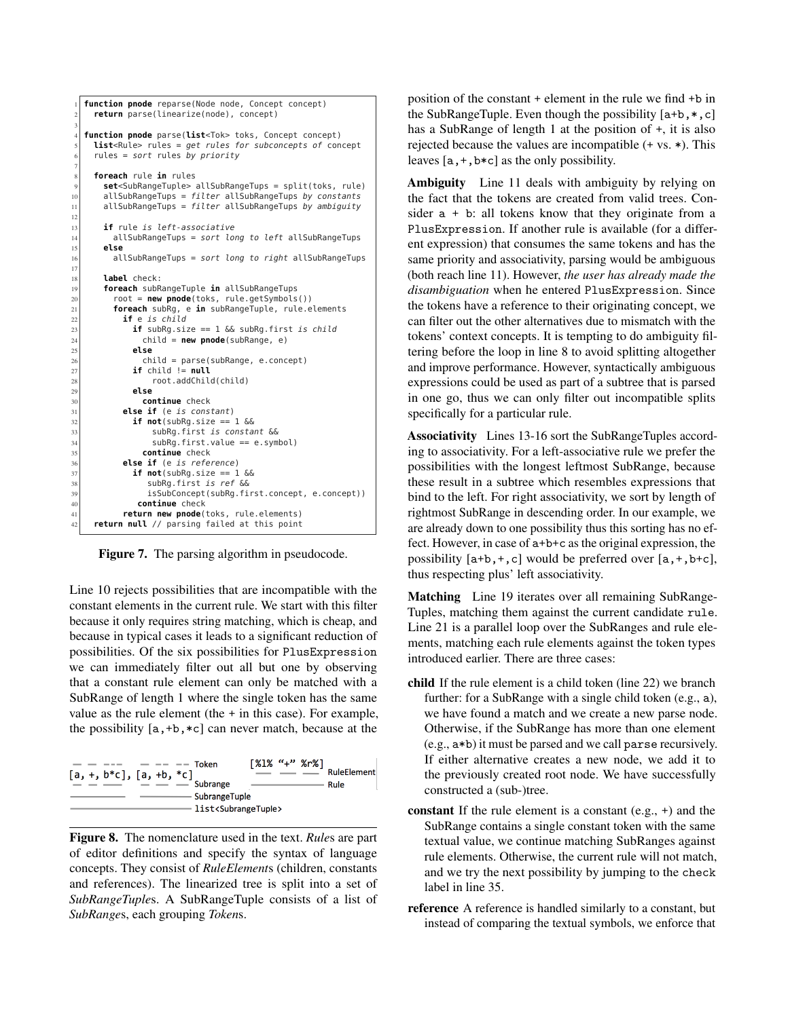```
function pnode reparse(Node node, Concept concept)
     2 return parse(linearize(node), concept)
 3
   4 function pnode parse(list<Tok> toks, Concept concept)
     list<Rule> rules = get rules for subconcepts of concept
     rules = sort rules by priority7
     8 foreach rule in rules
9 set<SubRangeTuple> allSubRangeTups = split(toks, rule)
        allSubRangeTups = filter allSubRangeTups by constants11 allSubRangeTups = filter allSubRangeTups by ambiguity
12
13 if rule is left-associative
14 allSubRangeTups = sort long to left allSubRangeTups<br>15 else
       15 else
16 allSubRangeTups = sort long to right allSubRangeTups
17
18 label check:<br>
foreach subR
        19 foreach subRangeTuple in allSubRangeTups
20 root = new pnode(toks, rule.getSymbols())
21 foreach subRg, e in subRangeTuple, rule.elements<br>
if e is child
\begin{array}{c|c}\n \text{22} \\
 \text{23} \\
 \text{24}\n \end{array} if e is child
              if subRg.size == 1 && subRg.first is child
24 child = new pnode(subRange, e)
              25 else
\begin{array}{c|c}\n 26 & \text{child = parse(subRange, e.concept)} \\
 \hline\n 27 & \text{if child != null}\n \end{array}27 if child != null
28 root.addChild(child)
29 else
                 30 continue check
31 else if (e is constant)
32 if not(subRq.size == 1 \&\&33 \begin{array}{c|c}\n 33 & \text{subRg.first is constant} & \& 34 \\
 \hline\n 34 & \text{subRa.first.value} == e.svm\n \end{array}34 subRg.first.value == e.symbol)<br>continue check
<sup>35</sup> continue check<br><sup>36</sup> else if (e is refer
36 else if (e is reference)<br>if not(subRa.size =- 1
              if not(subRg.size == 1 &38 SubRq.first is ref &&
39 isSubConcept(subRg.first.concept, e.concept))
40 continue check
41 return new pnode(toks, rule.elements)
42 return null // parsing failed at this point
```
<span id="page-7-0"></span>Figure 7. The parsing algorithm in pseudocode.

Line 10 rejects possibilities that are incompatible with the constant elements in the current rule. We start with this filter because it only requires string matching, which is cheap, and because in typical cases it leads to a significant reduction of possibilities. Of the six possibilities for PlusExpression we can immediately filter out all but one by observing that a constant rule element can only be matched with a SubRange of length 1 where the single token has the same value as the rule element (the + in this case). For example, the possibility [a,+b,\*c] can never match, because at the

| Token<br>$[a, +, b * c], [a, +b, *c]$<br>$     -$<br>Subrange | $[%1% "+'" %r%]$<br>RuleElement<br>Rule |  |
|---------------------------------------------------------------|-----------------------------------------|--|
| SubrangeTuple<br>list <subrangetuple></subrangetuple>         |                                         |  |

<span id="page-7-1"></span>Figure 8. The nomenclature used in the text. *Rule*s are part of editor definitions and specify the syntax of language concepts. They consist of *RuleElement*s (children, constants and references). The linearized tree is split into a set of *SubRangeTuple*s. A SubRangeTuple consists of a list of *SubRange*s, each grouping *Token*s.

position of the constant + element in the rule we find +b in the SubRangeTuple. Even though the possibility [a+b,\*,c] has a SubRange of length 1 at the position of +, it is also rejected because the values are incompatible (+ vs. \*). This leaves [a,+,b\*c] as the only possibility.

Ambiguity Line 11 deals with ambiguity by relying on the fact that the tokens are created from valid trees. Consider  $a + b$ : all tokens know that they originate from a PlusExpression. If another rule is available (for a different expression) that consumes the same tokens and has the same priority and associativity, parsing would be ambiguous (both reach line 11). However, *the user has already made the disambiguation* when he entered PlusExpression. Since the tokens have a reference to their originating concept, we can filter out the other alternatives due to mismatch with the tokens' context concepts. It is tempting to do ambiguity filtering before the loop in line 8 to avoid splitting altogether and improve performance. However, syntactically ambiguous expressions could be used as part of a subtree that is parsed in one go, thus we can only filter out incompatible splits specifically for a particular rule.

Associativity Lines 13-16 sort the SubRangeTuples according to associativity. For a left-associative rule we prefer the possibilities with the longest leftmost SubRange, because these result in a subtree which resembles expressions that bind to the left. For right associativity, we sort by length of rightmost SubRange in descending order. In our example, we are already down to one possibility thus this sorting has no effect. However, in case of a+b+c as the original expression, the possibility  $[a+b,+,c]$  would be preferred over  $[a,+,b+c]$ , thus respecting plus' left associativity.

Matching Line 19 iterates over all remaining SubRange-Tuples, matching them against the current candidate rule. Line 21 is a parallel loop over the SubRanges and rule elements, matching each rule elements against the token types introduced earlier. There are three cases:

- child If the rule element is a child token (line 22) we branch further: for a SubRange with a single child token (e.g., a), we have found a match and we create a new parse node. Otherwise, if the SubRange has more than one element (e.g., a\*b) it must be parsed and we call parse recursively. If either alternative creates a new node, we add it to the previously created root node. We have successfully constructed a (sub-)tree.
- **constant** If the rule element is a constant  $(e.g., +)$  and the SubRange contains a single constant token with the same textual value, we continue matching SubRanges against rule elements. Otherwise, the current rule will not match, and we try the next possibility by jumping to the check label in line 35.
- reference A reference is handled similarly to a constant, but instead of comparing the textual symbols, we enforce that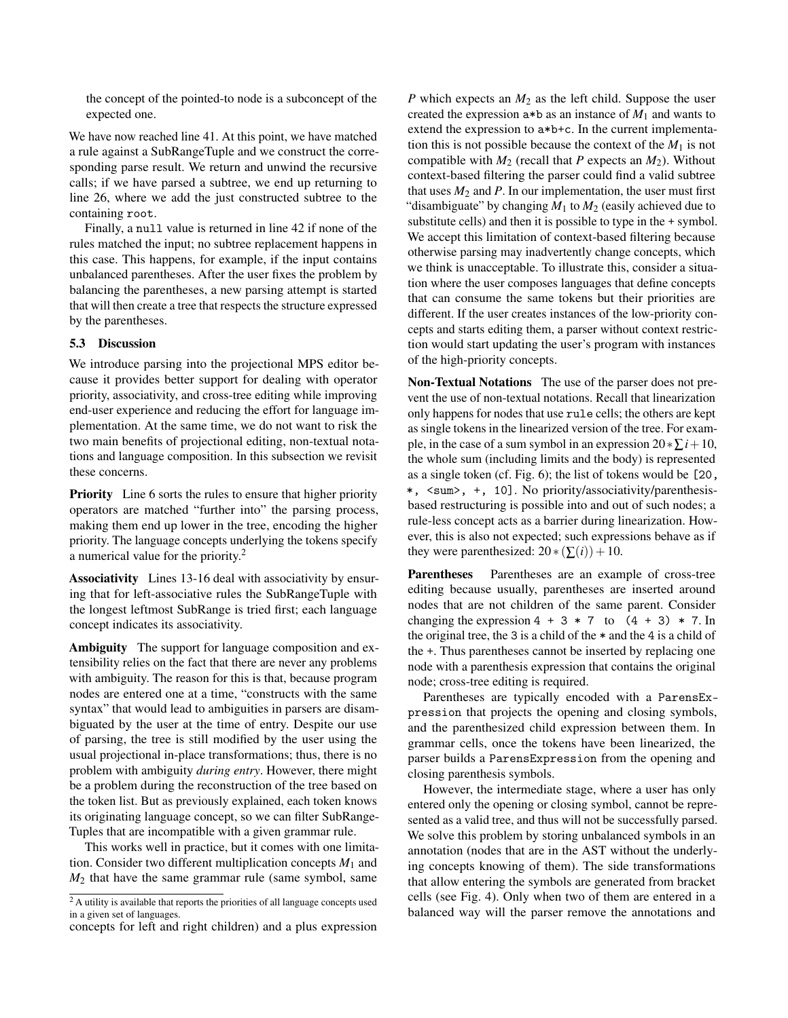the concept of the pointed-to node is a subconcept of the expected one.

We have now reached line 41. At this point, we have matched a rule against a SubRangeTuple and we construct the corresponding parse result. We return and unwind the recursive calls; if we have parsed a subtree, we end up returning to line 26, where we add the just constructed subtree to the containing root.

Finally, a null value is returned in line 42 if none of the rules matched the input; no subtree replacement happens in this case. This happens, for example, if the input contains unbalanced parentheses. After the user fixes the problem by balancing the parentheses, a new parsing attempt is started that will then create a tree that respects the structure expressed by the parentheses.

#### 5.3 Discussion

We introduce parsing into the projectional MPS editor because it provides better support for dealing with operator priority, associativity, and cross-tree editing while improving end-user experience and reducing the effort for language implementation. At the same time, we do not want to risk the two main benefits of projectional editing, non-textual notations and language composition. In this subsection we revisit these concerns.

**Priority** Line 6 sorts the rules to ensure that higher priority operators are matched "further into" the parsing process, making them end up lower in the tree, encoding the higher priority. The language concepts underlying the tokens specify a numerical value for the priority.[2](#page-8-0)

Associativity Lines 13-16 deal with associativity by ensuring that for left-associative rules the SubRangeTuple with the longest leftmost SubRange is tried first; each language concept indicates its associativity.

Ambiguity The support for language composition and extensibility relies on the fact that there are never any problems with ambiguity. The reason for this is that, because program nodes are entered one at a time, "constructs with the same syntax" that would lead to ambiguities in parsers are disambiguated by the user at the time of entry. Despite our use of parsing, the tree is still modified by the user using the usual projectional in-place transformations; thus, there is no problem with ambiguity *during entry*. However, there might be a problem during the reconstruction of the tree based on the token list. But as previously explained, each token knows its originating language concept, so we can filter SubRange-Tuples that are incompatible with a given grammar rule.

This works well in practice, but it comes with one limitation. Consider two different multiplication concepts  $M_1$  and  $M<sub>2</sub>$  that have the same grammar rule (same symbol, same

*P* which expects an *M*<sup>2</sup> as the left child. Suppose the user created the expression  $a * b$  as an instance of  $M_1$  and wants to extend the expression to a\*b+c. In the current implementation this is not possible because the context of the  $M_1$  is not compatible with  $M_2$  (recall that  $P$  expects an  $M_2$ ). Without context-based filtering the parser could find a valid subtree that uses  $M_2$  and  $P$ . In our implementation, the user must first "disambiguate" by changing  $M_1$  to  $M_2$  (easily achieved due to substitute cells) and then it is possible to type in the + symbol. We accept this limitation of context-based filtering because otherwise parsing may inadvertently change concepts, which we think is unacceptable. To illustrate this, consider a situation where the user composes languages that define concepts that can consume the same tokens but their priorities are different. If the user creates instances of the low-priority concepts and starts editing them, a parser without context restriction would start updating the user's program with instances of the high-priority concepts.

Non-Textual Notations The use of the parser does not prevent the use of non-textual notations. Recall that linearization only happens for nodes that use rule cells; the others are kept as single tokens in the linearized version of the tree. For example, in the case of a sum symbol in an expression 20∗∑*i*+10, the whole sum (including limits and the body) is represented as a single token (cf. [Fig. 6\)](#page-6-1); the list of tokens would be [20, \*, <sum>, +, 10]. No priority/associativity/parenthesisbased restructuring is possible into and out of such nodes; a rule-less concept acts as a barrier during linearization. However, this is also not expected; such expressions behave as if they were parenthesized:  $20 * (\sum(i)) + 10$ .

Parentheses Parentheses are an example of cross-tree editing because usually, parentheses are inserted around nodes that are not children of the same parent. Consider changing the expression  $4 + 3 * 7$  to  $(4 + 3) * 7$ . In the original tree, the 3 is a child of the \* and the 4 is a child of the +. Thus parentheses cannot be inserted by replacing one node with a parenthesis expression that contains the original node; cross-tree editing is required.

Parentheses are typically encoded with a ParensExpression that projects the opening and closing symbols, and the parenthesized child expression between them. In grammar cells, once the tokens have been linearized, the parser builds a ParensExpression from the opening and closing parenthesis symbols.

However, the intermediate stage, where a user has only entered only the opening or closing symbol, cannot be represented as a valid tree, and thus will not be successfully parsed. We solve this problem by storing unbalanced symbols in an annotation (nodes that are in the AST without the underlying concepts knowing of them). The side transformations that allow entering the symbols are generated from bracket cells (see [Fig. 4\)](#page-5-1). Only when two of them are entered in a balanced way will the parser remove the annotations and

<span id="page-8-0"></span><sup>&</sup>lt;sup>2</sup> A utility is available that reports the priorities of all language concepts used in a given set of languages.

concepts for left and right children) and a plus expression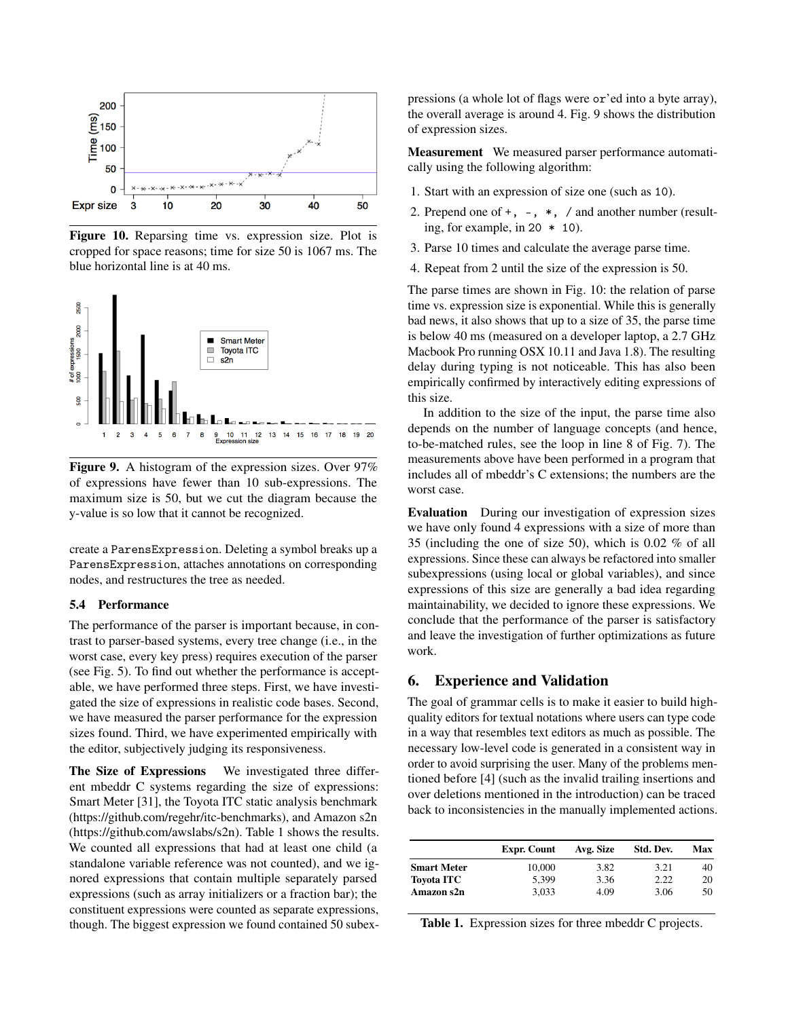

<span id="page-9-1"></span>Figure 10. Reparsing time vs. expression size. Plot is cropped for space reasons; time for size 50 is 1067 ms. The blue horizontal line is at 40 ms.



<span id="page-9-3"></span>Figure 9. A histogram of the expression sizes. Over 97% of expressions have fewer than 10 sub-expressions. The maximum size is 50, but we cut the diagram because the y-value is so low that it cannot be recognized.

create a ParensExpression. Deleting a symbol breaks up a ParensExpression, attaches annotations on corresponding nodes, and restructures the tree as needed.

#### 5.4 Performance

The performance of the parser is important because, in contrast to parser-based systems, every tree change (i.e., in the worst case, every key press) requires execution of the parser (see [Fig. 5\)](#page-5-2). To find out whether the performance is acceptable, we have performed three steps. First, we have investigated the size of expressions in realistic code bases. Second, we have measured the parser performance for the expression sizes found. Third, we have experimented empirically with the editor, subjectively judging its responsiveness.

The Size of Expressions We investigated three different mbeddr C systems regarding the size of expressions: Smart Meter [\[31\]](#page-12-5), the Toyota ITC static analysis benchmark [\(https://github.com/regehr/itc-benchmarks\)](https://github.com/regehr/itc-benchmarks), and Amazon s2n [\(https://github.com/awslabs/s2n\)](https://github.com/awslabs/s2n). [Table 1](#page-9-2) shows the results. We counted all expressions that had at least one child (a standalone variable reference was not counted), and we ignored expressions that contain multiple separately parsed expressions (such as array initializers or a fraction bar); the constituent expressions were counted as separate expressions, though. The biggest expression we found contained 50 subexpressions (a whole lot of flags were or'ed into a byte array), the overall average is around 4. [Fig. 9](#page-9-3) shows the distribution of expression sizes.

Measurement We measured parser performance automatically using the following algorithm:

- 1. Start with an expression of size one (such as 10).
- 2. Prepend one of  $+, -$ ,  $*, /$  and another number (resulting, for example, in  $20 \div 10$ .
- 3. Parse 10 times and calculate the average parse time.
- 4. Repeat from 2 until the size of the expression is 50.

The parse times are shown in [Fig. 10:](#page-9-1) the relation of parse time vs. expression size is exponential. While this is generally bad news, it also shows that up to a size of 35, the parse time is below 40 ms (measured on a developer laptop, a 2.7 GHz Macbook Pro running OSX 10.11 and Java 1.8). The resulting delay during typing is not noticeable. This has also been empirically confirmed by interactively editing expressions of this size.

In addition to the size of the input, the parse time also depends on the number of language concepts (and hence, to-be-matched rules, see the loop in line 8 of [Fig. 7\)](#page-7-0). The measurements above have been performed in a program that includes all of mbeddr's C extensions; the numbers are the worst case.

Evaluation During our investigation of expression sizes we have only found 4 expressions with a size of more than 35 (including the one of size 50), which is 0.02 % of all expressions. Since these can always be refactored into smaller subexpressions (using local or global variables), and since expressions of this size are generally a bad idea regarding maintainability, we decided to ignore these expressions. We conclude that the performance of the parser is satisfactory and leave the investigation of further optimizations as future work.

## <span id="page-9-0"></span>6. Experience and Validation

The goal of grammar cells is to make it easier to build highquality editors for textual notations where users can type code in a way that resembles text editors as much as possible. The necessary low-level code is generated in a consistent way in order to avoid surprising the user. Many of the problems mentioned before [\[4\]](#page-12-7) (such as the invalid trailing insertions and over deletions mentioned in the introduction) can be traced back to inconsistencies in the manually implemented actions.

|                    | <b>Expr. Count</b> | Avg. Size | Std. Dev. | Max |
|--------------------|--------------------|-----------|-----------|-----|
| <b>Smart Meter</b> | 10.000             | 3.82      | 3.21      | 40  |
| <b>Toyota ITC</b>  | 5.399              | 3.36      | 2.22      | 20  |
| Amazon s2n         | 3.033              | 4.09      | 3.06      | 50  |

<span id="page-9-2"></span>Table 1. Expression sizes for three mbeddr C projects.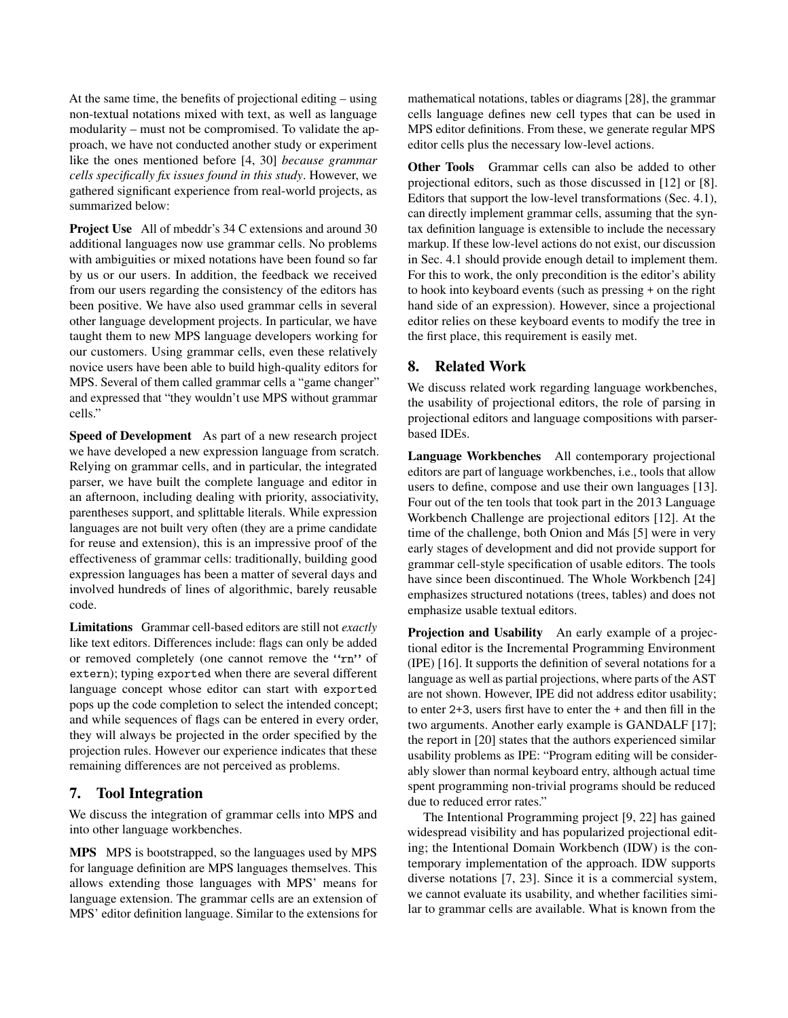At the same time, the benefits of projectional editing – using non-textual notations mixed with text, as well as language modularity – must not be compromised. To validate the approach, we have not conducted another study or experiment like the ones mentioned before [\[4,](#page-12-7) [30\]](#page-12-6) *because grammar cells specifically fix issues found in this study*. However, we gathered significant experience from real-world projects, as summarized below:

Project Use All of mbeddr's 34 C extensions and around 30 additional languages now use grammar cells. No problems with ambiguities or mixed notations have been found so far by us or our users. In addition, the feedback we received from our users regarding the consistency of the editors has been positive. We have also used grammar cells in several other language development projects. In particular, we have taught them to new MPS language developers working for our customers. Using grammar cells, even these relatively novice users have been able to build high-quality editors for MPS. Several of them called grammar cells a "game changer" and expressed that "they wouldn't use MPS without grammar cells."

Speed of Development As part of a new research project we have developed a new expression language from scratch. Relying on grammar cells, and in particular, the integrated parser, we have built the complete language and editor in an afternoon, including dealing with priority, associativity, parentheses support, and splittable literals. While expression languages are not built very often (they are a prime candidate for reuse and extension), this is an impressive proof of the effectiveness of grammar cells: traditionally, building good expression languages has been a matter of several days and involved hundreds of lines of algorithmic, barely reusable code.

Limitations Grammar cell-based editors are still not *exactly* like text editors. Differences include: flags can only be added or removed completely (one cannot remove the "rn" of extern); typing exported when there are several different language concept whose editor can start with exported pops up the code completion to select the intended concept; and while sequences of flags can be entered in every order, they will always be projected in the order specified by the projection rules. However our experience indicates that these remaining differences are not perceived as problems.

# <span id="page-10-0"></span>7. Tool Integration

We discuss the integration of grammar cells into MPS and into other language workbenches.

MPS MPS is bootstrapped, so the languages used by MPS for language definition are MPS languages themselves. This allows extending those languages with MPS' means for language extension. The grammar cells are an extension of MPS' editor definition language. Similar to the extensions for mathematical notations, tables or diagrams [\[28\]](#page-12-0), the grammar cells language defines new cell types that can be used in MPS editor definitions. From these, we generate regular MPS editor cells plus the necessary low-level actions.

Other Tools Grammar cells can also be added to other projectional editors, such as those discussed in [\[12\]](#page-12-16) or [\[8\]](#page-12-10). Editors that support the low-level transformations [\(Sec. 4.1\)](#page-3-2), can directly implement grammar cells, assuming that the syntax definition language is extensible to include the necessary markup. If these low-level actions do not exist, our discussion in [Sec. 4.1](#page-3-2) should provide enough detail to implement them. For this to work, the only precondition is the editor's ability to hook into keyboard events (such as pressing + on the right hand side of an expression). However, since a projectional editor relies on these keyboard events to modify the tree in the first place, this requirement is easily met.

## <span id="page-10-1"></span>8. Related Work

We discuss related work regarding language workbenches, the usability of projectional editors, the role of parsing in projectional editors and language compositions with parserbased IDEs.

Language Workbenches All contemporary projectional editors are part of language workbenches, i.e., tools that allow users to define, compose and use their own languages [\[13\]](#page-12-17). Four out of the ten tools that took part in the 2013 Language Workbench Challenge are projectional editors [\[12\]](#page-12-16). At the time of the challenge, both Onion and Más [\[5\]](#page-12-18) were in very early stages of development and did not provide support for grammar cell-style specification of usable editors. The tools have since been discontinued. The Whole Workbench [\[24\]](#page-12-19) emphasizes structured notations (trees, tables) and does not emphasize usable textual editors.

Projection and Usability An early example of a projectional editor is the Incremental Programming Environment (IPE) [\[16\]](#page-12-20). It supports the definition of several notations for a language as well as partial projections, where parts of the AST are not shown. However, IPE did not address editor usability; to enter 2+3, users first have to enter the + and then fill in the two arguments. Another early example is GANDALF [\[17\]](#page-12-21); the report in [\[20\]](#page-12-8) states that the authors experienced similar usability problems as IPE: "Program editing will be considerably slower than normal keyboard entry, although actual time spent programming non-trivial programs should be reduced due to reduced error rates."

The Intentional Programming project [\[9,](#page-12-22) [22\]](#page-12-23) has gained widespread visibility and has popularized projectional editing; the Intentional Domain Workbench (IDW) is the contemporary implementation of the approach. IDW supports diverse notations [\[7,](#page-12-24) [23\]](#page-12-11). Since it is a commercial system, we cannot evaluate its usability, and whether facilities similar to grammar cells are available. What is known from the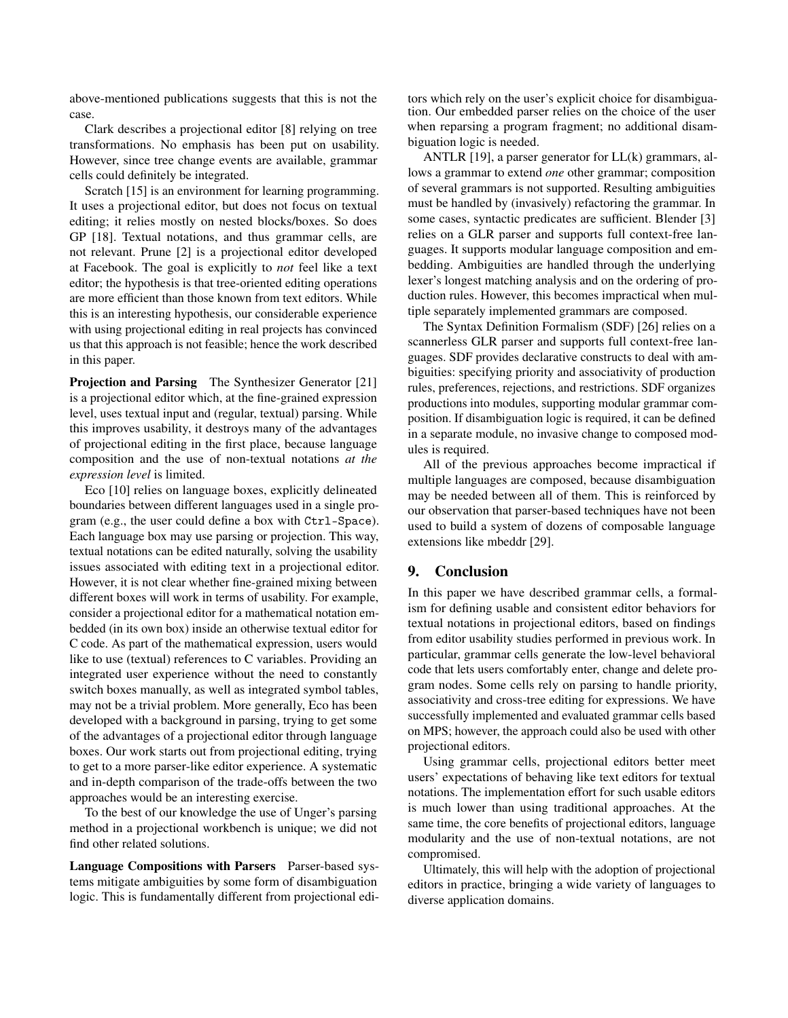above-mentioned publications suggests that this is not the case.

Clark describes a projectional editor [\[8\]](#page-12-10) relying on tree transformations. No emphasis has been put on usability. However, since tree change events are available, grammar cells could definitely be integrated.

Scratch [\[15\]](#page-12-25) is an environment for learning programming. It uses a projectional editor, but does not focus on textual editing; it relies mostly on nested blocks/boxes. So does GP [\[18\]](#page-12-26). Textual notations, and thus grammar cells, are not relevant. Prune [\[2\]](#page-12-9) is a projectional editor developed at Facebook. The goal is explicitly to *not* feel like a text editor; the hypothesis is that tree-oriented editing operations are more efficient than those known from text editors. While this is an interesting hypothesis, our considerable experience with using projectional editing in real projects has convinced us that this approach is not feasible; hence the work described in this paper.

Projection and Parsing The Synthesizer Generator [\[21\]](#page-12-27) is a projectional editor which, at the fine-grained expression level, uses textual input and (regular, textual) parsing. While this improves usability, it destroys many of the advantages of projectional editing in the first place, because language composition and the use of non-textual notations *at the expression level* is limited.

Eco [\[10\]](#page-12-28) relies on language boxes, explicitly delineated boundaries between different languages used in a single program (e.g., the user could define a box with Ctrl-Space). Each language box may use parsing or projection. This way, textual notations can be edited naturally, solving the usability issues associated with editing text in a projectional editor. However, it is not clear whether fine-grained mixing between different boxes will work in terms of usability. For example, consider a projectional editor for a mathematical notation embedded (in its own box) inside an otherwise textual editor for C code. As part of the mathematical expression, users would like to use (textual) references to C variables. Providing an integrated user experience without the need to constantly switch boxes manually, as well as integrated symbol tables, may not be a trivial problem. More generally, Eco has been developed with a background in parsing, trying to get some of the advantages of a projectional editor through language boxes. Our work starts out from projectional editing, trying to get to a more parser-like editor experience. A systematic and in-depth comparison of the trade-offs between the two approaches would be an interesting exercise.

To the best of our knowledge the use of Unger's parsing method in a projectional workbench is unique; we did not find other related solutions.

Language Compositions with Parsers Parser-based systems mitigate ambiguities by some form of disambiguation logic. This is fundamentally different from projectional editors which rely on the user's explicit choice for disambiguation. Our embedded parser relies on the choice of the user when reparsing a program fragment; no additional disambiguation logic is needed.

ANTLR [\[19\]](#page-12-29), a parser generator for LL(k) grammars, allows a grammar to extend *one* other grammar; composition of several grammars is not supported. Resulting ambiguities must be handled by (invasively) refactoring the grammar. In some cases, syntactic predicates are sufficient. Blender [\[3\]](#page-12-30) relies on a GLR parser and supports full context-free languages. It supports modular language composition and embedding. Ambiguities are handled through the underlying lexer's longest matching analysis and on the ordering of production rules. However, this becomes impractical when multiple separately implemented grammars are composed.

The Syntax Definition Formalism (SDF) [\[26\]](#page-12-31) relies on a scannerless GLR parser and supports full context-free languages. SDF provides declarative constructs to deal with ambiguities: specifying priority and associativity of production rules, preferences, rejections, and restrictions. SDF organizes productions into modules, supporting modular grammar composition. If disambiguation logic is required, it can be defined in a separate module, no invasive change to composed modules is required.

All of the previous approaches become impractical if multiple languages are composed, because disambiguation may be needed between all of them. This is reinforced by our observation that parser-based techniques have not been used to build a system of dozens of composable language extensions like mbeddr [\[29\]](#page-12-4).

# <span id="page-11-0"></span>9. Conclusion

In this paper we have described grammar cells, a formalism for defining usable and consistent editor behaviors for textual notations in projectional editors, based on findings from editor usability studies performed in previous work. In particular, grammar cells generate the low-level behavioral code that lets users comfortably enter, change and delete program nodes. Some cells rely on parsing to handle priority, associativity and cross-tree editing for expressions. We have successfully implemented and evaluated grammar cells based on MPS; however, the approach could also be used with other projectional editors.

Using grammar cells, projectional editors better meet users' expectations of behaving like text editors for textual notations. The implementation effort for such usable editors is much lower than using traditional approaches. At the same time, the core benefits of projectional editors, language modularity and the use of non-textual notations, are not compromised.

Ultimately, this will help with the adoption of projectional editors in practice, bringing a wide variety of languages to diverse application domains.